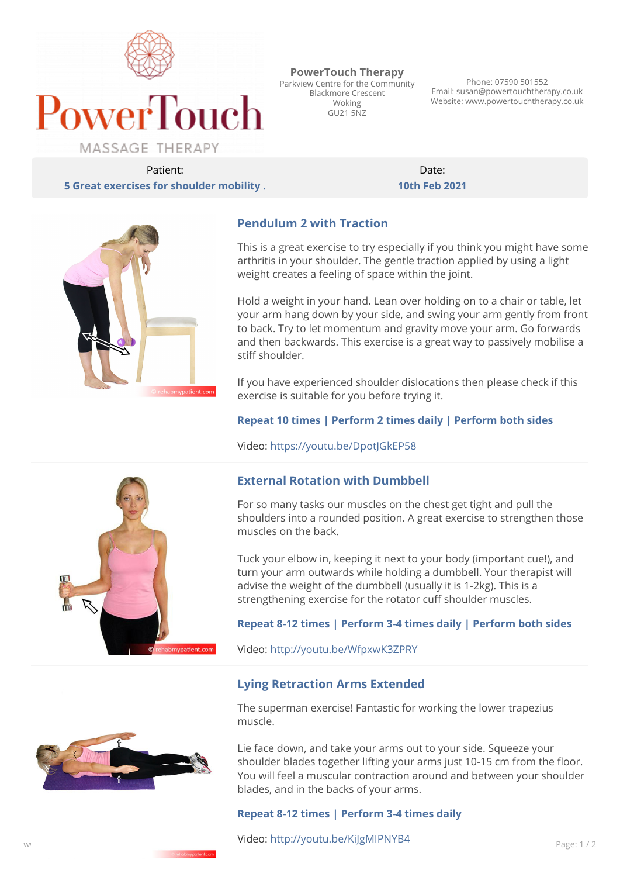

**PowerTouch Therapy** Parkview Centre for the Community Blackmore Crescent Woking  $G1121507$ 

Phone: 07590 501552 Email: susan@powertouchtherapy.co.uk Website: www.powertouchtherapy.co.uk

Patient: **5 Great exercises for shoulder mobility .**

Date: **10th Feb 2021**



# **Pendulum 2 with Traction**

This is a great exercise to try especially if you think you might have some arthritis in your shoulder. The gentle traction applied by using a light weight creates a feeling of space within the joint.

Hold a weight in your hand. Lean over holding on to a chair or table, let your arm hang down by your side, and swing your arm gently from front to back. Try to let momentum and gravity move your arm. Go forwards and then backwards. This exercise is a great way to passively mobilise a stiff shoulder.

If you have experienced shoulder dislocations then please check if this exercise is suitable for you before trying it.

#### **Repeat 10 times | Perform 2 times daily | Perform both sides**

Video: <https://youtu.be/DpotJGkEP58>

### **External Rotation with Dumbbell**

For so many tasks our muscles on the chest get tight and pull the shoulders into a rounded position. A great exercise to strengthen those muscles on the back.

Tuck your elbow in, keeping it next to your body (important cue!), and turn your arm outwards while holding a dumbbell. Your therapist will advise the weight of the dumbbell (usually it is 1-2kg). This is a strengthening exercise for the rotator cuff shoulder muscles.

#### **Repeat 8-12 times | Perform 3-4 times daily | Perform both sides**

Video: <http://youtu.be/WfpxwK3ZPRY>

### **Lying Retraction Arms Extended**

The superman exercise! Fantastic for working the lower trapezius muscle.

Lie face down, and take your arms out to your side. Squeeze your shoulder blades together lifting your arms just 10-15 cm from the floor. You will feel a muscular contraction around and between your shoulder blades, and in the backs of your arms.

#### **Repeat 8-12 times | Perform 3-4 times daily**

www.co.uk Page: 1 / 2  $\frac{m(p, r)$  become  $m(p, r)$  page: 1 / 2 Video: <http://youtu.be/KiJgMIPNYB4>